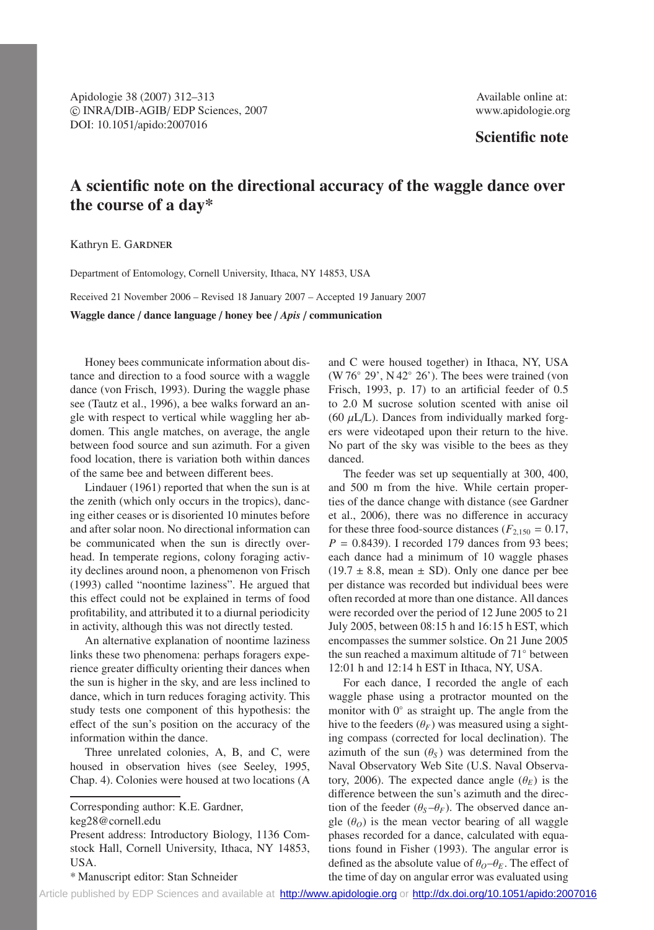Apidologie 38 (2007) 312–313 Available online at: c INRA/DIB-AGIB/ EDP Sciences, 2007 www.apidologie.org DOI: 10.1051/apido:2007016

# **Scientific note**

# **A scientific note on the directional accuracy of the waggle dance over the course of a day\***

Kathryn E. G

Department of Entomology, Cornell University, Ithaca, NY 14853, USA

Received 21 November 2006 – Revised 18 January 2007 – Accepted 19 January 2007

**Waggle dance** / **dance language** / **honey bee** / *Apis* / **communication**

Honey bees communicate information about distance and direction to a food source with a waggle dance (von Frisch, 1993). During the waggle phase see (Tautz et al., 1996), a bee walks forward an angle with respect to vertical while waggling her abdomen. This angle matches, on average, the angle between food source and sun azimuth. For a given food location, there is variation both within dances of the same bee and between different bees.

Lindauer (1961) reported that when the sun is at the zenith (which only occurs in the tropics), dancing either ceases or is disoriented 10 minutes before and after solar noon. No directional information can be communicated when the sun is directly overhead. In temperate regions, colony foraging activity declines around noon, a phenomenon von Frisch (1993) called "noontime laziness". He argued that this effect could not be explained in terms of food profitability, and attributed it to a diurnal periodicity in activity, although this was not directly tested.

An alternative explanation of noontime laziness links these two phenomena: perhaps foragers experience greater difficulty orienting their dances when the sun is higher in the sky, and are less inclined to dance, which in turn reduces foraging activity. This study tests one component of this hypothesis: the effect of the sun's position on the accuracy of the information within the dance.

Three unrelated colonies, A, B, and C, were housed in observation hives (see Seeley, 1995, Chap. 4). Colonies were housed at two locations (A

Corresponding author: K.E. Gardner,

keg28@cornell.edu

Present address: Introductory Biology, 1136 Comstock Hall, Cornell University, Ithaca, NY 14853, USA.

\* Manuscript editor: Stan Schneider

and C were housed together) in Ithaca, NY, USA (W 76◦ 29', N 42◦ 26'). The bees were trained (von Frisch, 1993, p. 17) to an artificial feeder of 0.5 to 2.0 M sucrose solution scented with anise oil (60  $\mu$ L/L). Dances from individually marked forgers were videotaped upon their return to the hive. No part of the sky was visible to the bees as they danced.

The feeder was set up sequentially at 300, 400, and 500 m from the hive. While certain properties of the dance change with distance (see Gardner et al., 2006), there was no difference in accuracy for these three food-source distances ( $F_{2,150} = 0.17$ ,  $P = 0.8439$ . I recorded 179 dances from 93 bees; each dance had a minimum of 10 waggle phases  $(19.7 \pm 8.8, \text{ mean } \pm \text{ SD})$ . Only one dance per bee per distance was recorded but individual bees were often recorded at more than one distance. All dances were recorded over the period of 12 June 2005 to 21 July 2005, between 08:15 h and 16:15 h EST, which encompasses the summer solstice. On 21 June 2005 the sun reached a maximum altitude of 71◦ between 12:01 h and 12:14 h EST in Ithaca, NY, USA.

For each dance, I recorded the angle of each waggle phase using a protractor mounted on the monitor with 0◦ as straight up. The angle from the hive to the feeders  $(\theta_F)$  was measured using a sighting compass (corrected for local declination). The azimuth of the sun  $(\theta_s)$  was determined from the Naval Observatory Web Site (U.S. Naval Observatory, 2006). The expected dance angle  $(\theta_F)$  is the difference between the sun's azimuth and the direction of the feeder  $(\theta_S - \theta_F)$ . The observed dance angle  $(\theta_o)$  is the mean vector bearing of all waggle phases recorded for a dance, calculated with equations found in Fisher (1993). The angular error is defined as the absolute value of  $\theta_o - \theta_E$ . The effect of the time of day on angular error was evaluated using

[Article published by EDP Sciences and available at http://www.apidologie.org](http://www.apidologie.org) or <http://dx.doi.org/10.1051/apido:2007016>